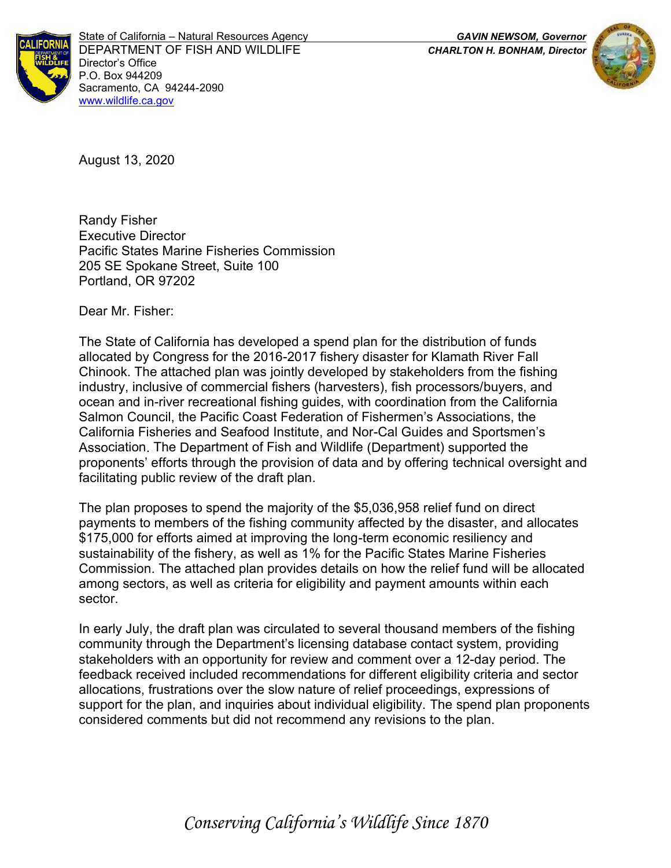

State of California – Natural Resources Agency *GAVIN NEWSOM, Governor* DEPARTMENT OF FISH AND WILDLIFE *CHARLTON H. BONHAM, Director*  Director's Office P.O. Box 944209 Sacramento, CA 94244-2090 [www.wildlife.ca.gov](http://www.cdfw.ca.gov/)



August 13, 2020

Randy Fisher Executive Director Pacific States Marine Fisheries Commission 205 SE Spokane Street, Suite 100 Portland, OR 97202

Dear Mr. Fisher:

The State of California has developed a spend plan for the distribution of funds allocated by Congress for the 2016-2017 fishery disaster for Klamath River Fall Chinook. The attached plan was jointly developed by stakeholders from the fishing industry, inclusive of commercial fishers (harvesters), fish processors/buyers, and ocean and in-river recreational fishing guides, with coordination from the California Salmon Council, the Pacific Coast Federation of Fishermen's Associations, the California Fisheries and Seafood Institute, and Nor-Cal Guides and Sportsmen's Association. The Department of Fish and Wildlife (Department) supported the proponents' efforts through the provision of data and by offering technical oversight and facilitating public review of the draft plan.

The plan proposes to spend the majority of the \$5,036,958 relief fund on direct payments to members of the fishing community affected by the disaster, and allocates \$175,000 for efforts aimed at improving the long-term economic resiliency and sustainability of the fishery, as well as 1% for the Pacific States Marine Fisheries Commission. The attached plan provides details on how the relief fund will be allocated among sectors, as well as criteria for eligibility and payment amounts within each sector.

In early July, the draft plan was circulated to several thousand members of the fishing community through the Department's licensing database contact system, providing stakeholders with an opportunity for review and comment over a 12-day period. The feedback received included recommendations for different eligibility criteria and sector allocations, frustrations over the slow nature of relief proceedings, expressions of support for the plan, and inquiries about individual eligibility. The spend plan proponents considered comments but did not recommend any revisions to the plan.